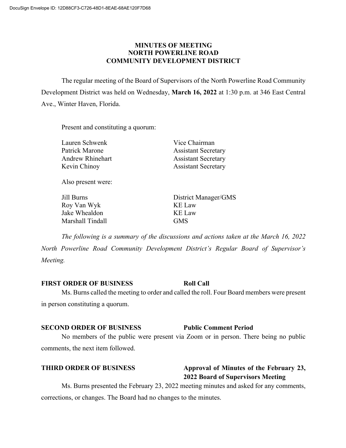## **MINUTES OF MEETING NORTH POWERLINE ROAD COMMUNITY DEVELOPMENT DISTRICT**

The regular meeting of the Board of Supervisors of the North Powerline Road Community Development District was held on Wednesday, **March 16, 2022** at 1:30 p.m. at 346 East Central Ave., Winter Haven, Florida.

Present and constituting a quorum:

Lauren Schwenk Vice Chairman

Patrick Marone Assistant Secretary Andrew Rhinehart **Assistant Secretary** Kevin Chinoy **Assistant Secretary** 

Also present were:

Roy Van Wyk KE Law Jake Whealdon KE Law Marshall Tindall GMS

Jill Burns District Manager/GMS

*The following is a summary of the discussions and actions taken at the March 16, 2022 North Powerline Road Community Development District's Regular Board of Supervisor's Meeting.*

### **FIRST ORDER OF BUSINESS Roll Call**

Ms. Burns called the meeting to order and called the roll. Four Board members were present in person constituting a quorum.

### **SECOND ORDER OF BUSINESS Public Comment Period**

No members of the public were present via Zoom or in person. There being no public comments, the next item followed.

### **THIRD ORDER OF BUSINESS Approval of Minutes of the February 23,**

**2022 Board of Supervisors Meeting** Ms. Burns presented the February 23, 2022 meeting minutes and asked for any comments, corrections, or changes. The Board had no changes to the minutes.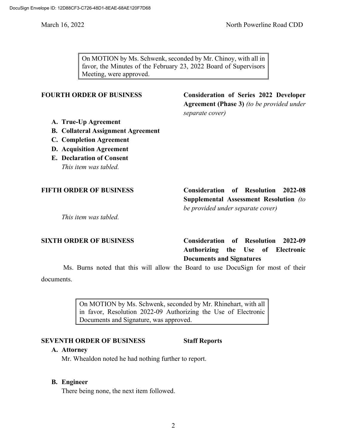On MOTION by Ms. Schwenk, seconded by Mr. Chinoy, with all in favor, the Minutes of the February 23, 2022 Board of Supervisors Meeting, were approved.

**FOURTH ORDER OF BUSINESS Consideration of Series 2022 Developer Agreement (Phase 3)** *(to be provided under separate cover)*

- **A. True-Up Agreement**
- **B. Collateral Assignment Agreement**
- **C. Completion Agreement**
- **D. Acquisition Agreement**
- **E. Declaration of Consent** *This item was tabled.*

**FIFTH ORDER OF BUSINESS Consideration of Resolution 2022-08 Supplemental Assessment Resolution** *(to be provided under separate cover)*

*This item was tabled.*

**SIXTH ORDER OF BUSINESS Consideration of Resolution 2022-09 Authorizing the Use of Electronic Documents and Signatures**

Ms. Burns noted that this will allow the Board to use DocuSign for most of their documents.

> On MOTION by Ms. Schwenk, seconded by Mr. Rhinehart, with all in favor, Resolution 2022-09 Authorizing the Use of Electronic Documents and Signature, was approved.

## **SEVENTH ORDER OF BUSINESS Staff Reports**

### **A. Attorney**

Mr. Whealdon noted he had nothing further to report.

### **B. Engineer**

There being none, the next item followed.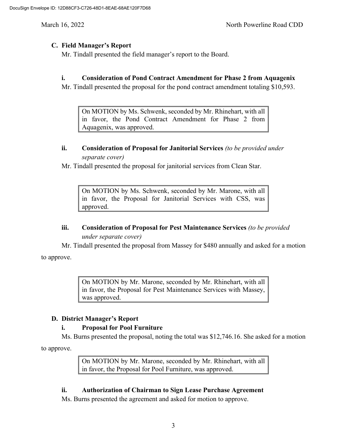# **C. Field Manager's Report**

Mr. Tindall presented the field manager's report to the Board.

# **i. Consideration of Pond Contract Amendment for Phase 2 from Aquagenix**

Mr. Tindall presented the proposal for the pond contract amendment totaling \$10,593.

On MOTION by Ms. Schwenk, seconded by Mr. Rhinehart, with all in favor, the Pond Contract Amendment for Phase 2 from Aquagenix, was approved.

## **ii. Consideration of Proposal for Janitorial Services** *(to be provided under separate cover)*

Mr. Tindall presented the proposal for janitorial services from Clean Star.

On MOTION by Ms. Schwenk, seconded by Mr. Marone, with all in favor, the Proposal for Janitorial Services with CSS, was approved.

# **iii. Consideration of Proposal for Pest Maintenance Services** *(to be provided under separate cover)*

Mr. Tindall presented the proposal from Massey for \$480 annually and asked for a motion

to approve.

On MOTION by Mr. Marone, seconded by Mr. Rhinehart, with all in favor, the Proposal for Pest Maintenance Services with Massey, was approved.

# **D. District Manager's Report**

# **i. Proposal for Pool Furniture**

Ms. Burns presented the proposal, noting the total was \$12,746.16. She asked for a motion

to approve.

On MOTION by Mr. Marone, seconded by Mr. Rhinehart, with all in favor, the Proposal for Pool Furniture, was approved.

# **ii. Authorization of Chairman to Sign Lease Purchase Agreement**

Ms. Burns presented the agreement and asked for motion to approve.